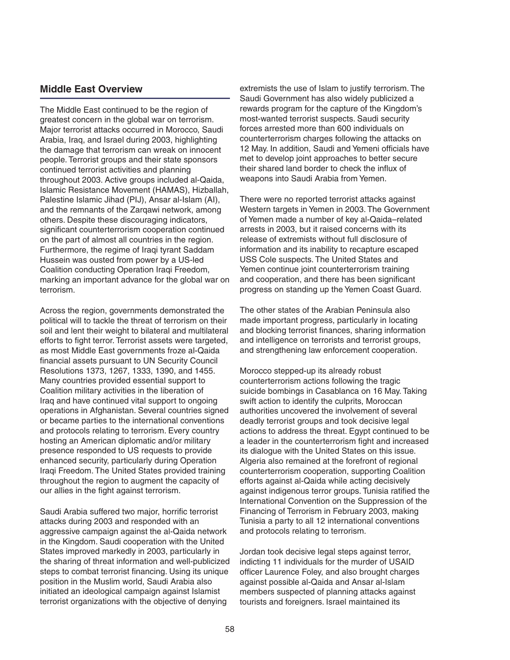# **Middle East Overview**

The Middle East continued to be the region of greatest concern in the global war on terrorism. Major terrorist attacks occurred in Morocco, Saudi Arabia, Iraq, and Israel during 2003, highlighting the damage that terrorism can wreak on innocent people. Terrorist groups and their state sponsors continued terrorist activities and planning throughout 2003. Active groups included al-Qaida, Islamic Resistance Movement (HAMAS), Hizballah, Palestine Islamic Jihad (PIJ), Ansar al-Islam (AI), and the remnants of the Zarqawi network, among others. Despite these discouraging indicators, significant counterterrorism cooperation continued on the part of almost all countries in the region. Furthermore, the regime of Iraqi tyrant Saddam Hussein was ousted from power by a US-led Coalition conducting Operation Iraqi Freedom, marking an important advance for the global war on terrorism.

Across the region, governments demonstrated the political will to tackle the threat of terrorism on their soil and lent their weight to bilateral and multilateral efforts to fight terror. Terrorist assets were targeted, as most Middle East governments froze al-Qaida financial assets pursuant to UN Security Council Resolutions 1373, 1267, 1333, 1390, and 1455. Many countries provided essential support to Coalition military activities in the liberation of Iraq and have continued vital support to ongoing operations in Afghanistan. Several countries signed or became parties to the international conventions and protocols relating to terrorism. Every country hosting an American diplomatic and/or military presence responded to US requests to provide enhanced security, particularly during Operation Iraqi Freedom. The United States provided training throughout the region to augment the capacity of our allies in the fight against terrorism.

Saudi Arabia suffered two major, horrific terrorist attacks during 2003 and responded with an aggressive campaign against the al-Qaida network in the Kingdom. Saudi cooperation with the United States improved markedly in 2003, particularly in the sharing of threat information and well-publicized steps to combat terrorist financing. Using its unique position in the Muslim world, Saudi Arabia also initiated an ideological campaign against Islamist terrorist organizations with the objective of denying

extremists the use of Islam to justify terrorism. The Saudi Government has also widely publicized a rewards program for the capture of the Kingdom's most-wanted terrorist suspects. Saudi security forces arrested more than 600 individuals on counterterrorism charges following the attacks on 12 May. In addition, Saudi and Yemeni officials have met to develop joint approaches to better secure their shared land border to check the influx of weapons into Saudi Arabia from Yemen.

There were no reported terrorist attacks against Western targets in Yemen in 2003. The Government of Yemen made a number of key al-Qaida–related arrests in 2003, but it raised concerns with its release of extremists without full disclosure of information and its inability to recapture escaped USS Cole suspects. The United States and Yemen continue joint counterterrorism training and cooperation, and there has been significant progress on standing up the Yemen Coast Guard.

The other states of the Arabian Peninsula also made important progress, particularly in locating and blocking terrorist finances, sharing information and intelligence on terrorists and terrorist groups, and strengthening law enforcement cooperation.

Morocco stepped-up its already robust counterterrorism actions following the tragic suicide bombings in Casablanca on 16 May. Taking swift action to identify the culprits, Moroccan authorities uncovered the involvement of several deadly terrorist groups and took decisive legal actions to address the threat. Egypt continued to be a leader in the counterterrorism fight and increased its dialogue with the United States on this issue. Algeria also remained at the forefront of regional counterterrorism cooperation, supporting Coalition efforts against al-Qaida while acting decisively against indigenous terror groups. Tunisia ratified the International Convention on the Suppression of the Financing of Terrorism in February 2003, making Tunisia a party to all 12 international conventions and protocols relating to terrorism.

Jordan took decisive legal steps against terror, indicting 11 individuals for the murder of USAID officer Laurence Foley, and also brought charges against possible al-Qaida and Ansar al-Islam members suspected of planning attacks against tourists and foreigners. Israel maintained its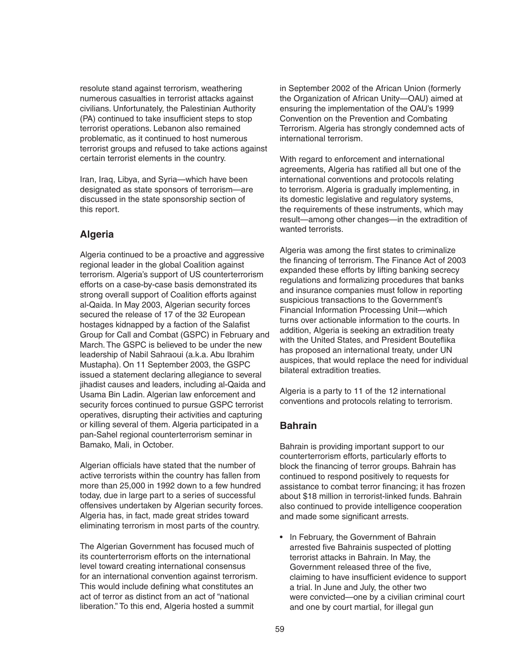resolute stand against terrorism, weathering numerous casualties in terrorist attacks against civilians. Unfortunately, the Palestinian Authority (PA) continued to take insufficient steps to stop terrorist operations. Lebanon also remained problematic, as it continued to host numerous terrorist groups and refused to take actions against certain terrorist elements in the country.

Iran, Iraq, Libya, and Syria—which have been designated as state sponsors of terrorism—are discussed in the state sponsorship section of this report.

# **Algeria**

Algeria continued to be a proactive and aggressive regional leader in the global Coalition against terrorism. Algeria's support of US counterterrorism efforts on a case-by-case basis demonstrated its strong overall support of Coalition efforts against al-Qaida. In May 2003, Algerian security forces secured the release of 17 of the 32 European hostages kidnapped by a faction of the Salafist Group for Call and Combat (GSPC) in February and March. The GSPC is believed to be under the new leadership of Nabil Sahraoui (a.k.a. Abu Ibrahim Mustapha). On 11 September 2003, the GSPC issued a statement declaring allegiance to several jihadist causes and leaders, including al-Qaida and Usama Bin Ladin. Algerian law enforcement and security forces continued to pursue GSPC terrorist operatives, disrupting their activities and capturing or killing several of them. Algeria participated in a pan-Sahel regional counterterrorism seminar in Bamako, Mali, in October.

Algerian officials have stated that the number of active terrorists within the country has fallen from more than 25,000 in 1992 down to a few hundred today, due in large part to a series of successful offensives undertaken by Algerian security forces. Algeria has, in fact, made great strides toward eliminating terrorism in most parts of the country.

The Algerian Government has focused much of its counterterrorism efforts on the international level toward creating international consensus for an international convention against terrorism. This would include defining what constitutes an act of terror as distinct from an act of "national liberation." To this end, Algeria hosted a summit

in September 2002 of the African Union (formerly the Organization of African Unity—OAU) aimed at ensuring the implementation of the OAU's 1999 Convention on the Prevention and Combating Terrorism. Algeria has strongly condemned acts of international terrorism.

With regard to enforcement and international agreements, Algeria has ratified all but one of the international conventions and protocols relating to terrorism. Algeria is gradually implementing, in its domestic legislative and regulatory systems, the requirements of these instruments, which may result—among other changes—in the extradition of wanted terrorists.

Algeria was among the first states to criminalize the financing of terrorism. The Finance Act of 2003 expanded these efforts by lifting banking secrecy regulations and formalizing procedures that banks and insurance companies must follow in reporting suspicious transactions to the Government's Financial Information Processing Unit—which turns over actionable information to the courts. In addition, Algeria is seeking an extradition treaty with the United States, and President Bouteflika has proposed an international treaty, under UN auspices, that would replace the need for individual bilateral extradition treaties.

Algeria is a party to 11 of the 12 international conventions and protocols relating to terrorism.

# **Bahrain**

Bahrain is providing important support to our counterterrorism efforts, particularly efforts to block the financing of terror groups. Bahrain has continued to respond positively to requests for assistance to combat terror financing; it has frozen about \$18 million in terrorist-linked funds. Bahrain also continued to provide intelligence cooperation and made some significant arrests.

• In February, the Government of Bahrain arrested five Bahrainis suspected of plotting terrorist attacks in Bahrain. In May, the Government released three of the five, claiming to have insufficient evidence to support a trial. In June and July, the other two were convicted—one by a civilian criminal court and one by court martial, for illegal gun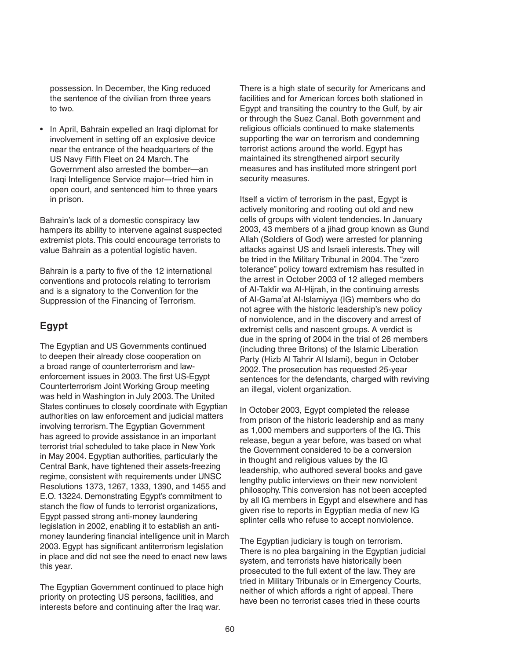possession. In December, the King reduced the sentence of the civilian from three years to two.

• In April, Bahrain expelled an Iraqi diplomat for involvement in setting off an explosive device near the entrance of the headquarters of the US Navy Fifth Fleet on 24 March. The Government also arrested the bomber—an Iraqi Intelligence Service major—tried him in open court, and sentenced him to three years in prison.

Bahrain's lack of a domestic conspiracy law hampers its ability to intervene against suspected extremist plots. This could encourage terrorists to value Bahrain as a potential logistic haven.

Bahrain is a party to five of the 12 international conventions and protocols relating to terrorism and is a signatory to the Convention for the Suppression of the Financing of Terrorism.

# **Egypt**

The Egyptian and US Governments continued to deepen their already close cooperation on a broad range of counterterrorism and lawenforcement issues in 2003. The first US-Egypt Counterterrorism Joint Working Group meeting was held in Washington in July 2003. The United States continues to closely coordinate with Egyptian authorities on law enforcement and judicial matters involving terrorism. The Egyptian Government has agreed to provide assistance in an important terrorist trial scheduled to take place in New York in May 2004. Egyptian authorities, particularly the Central Bank, have tightened their assets-freezing regime, consistent with requirements under UNSC Resolutions 1373, 1267, 1333, 1390, and 1455 and E.O. 13224. Demonstrating Egypt's commitment to stanch the flow of funds to terrorist organizations, Egypt passed strong anti-money laundering legislation in 2002, enabling it to establish an antimoney laundering financial intelligence unit in March 2003. Egypt has significant antiterrorism legislation in place and did not see the need to enact new laws this year.

The Egyptian Government continued to place high priority on protecting US persons, facilities, and interests before and continuing after the Iraq war.

There is a high state of security for Americans and facilities and for American forces both stationed in Egypt and transiting the country to the Gulf, by air or through the Suez Canal. Both government and religious officials continued to make statements supporting the war on terrorism and condemning terrorist actions around the world. Egypt has maintained its strengthened airport security measures and has instituted more stringent port security measures.

Itself a victim of terrorism in the past, Egypt is actively monitoring and rooting out old and new cells of groups with violent tendencies. In January 2003, 43 members of a jihad group known as Gund Allah (Soldiers of God) were arrested for planning attacks against US and Israeli interests. They will be tried in the Military Tribunal in 2004. The "zero tolerance" policy toward extremism has resulted in the arrest in October 2003 of 12 alleged members of Al-Takfir wa Al-Hijrah, in the continuing arrests of Al-Gama'at Al-Islamiyya (IG) members who do not agree with the historic leadership's new policy of nonviolence, and in the discovery and arrest of extremist cells and nascent groups. A verdict is due in the spring of 2004 in the trial of 26 members (including three Britons) of the Islamic Liberation Party (Hizb Al Tahrir Al Islami), begun in October 2002. The prosecution has requested 25-year sentences for the defendants, charged with reviving an illegal, violent organization.

In October 2003, Egypt completed the release from prison of the historic leadership and as many as 1,000 members and supporters of the IG. This release, begun a year before, was based on what the Government considered to be a conversion in thought and religious values by the IG leadership, who authored several books and gave lengthy public interviews on their new nonviolent philosophy. This conversion has not been accepted by all IG members in Egypt and elsewhere and has given rise to reports in Egyptian media of new IG splinter cells who refuse to accept nonviolence.

The Egyptian judiciary is tough on terrorism. There is no plea bargaining in the Egyptian judicial system, and terrorists have historically been prosecuted to the full extent of the law. They are tried in Military Tribunals or in Emergency Courts, neither of which affords a right of appeal. There have been no terrorist cases tried in these courts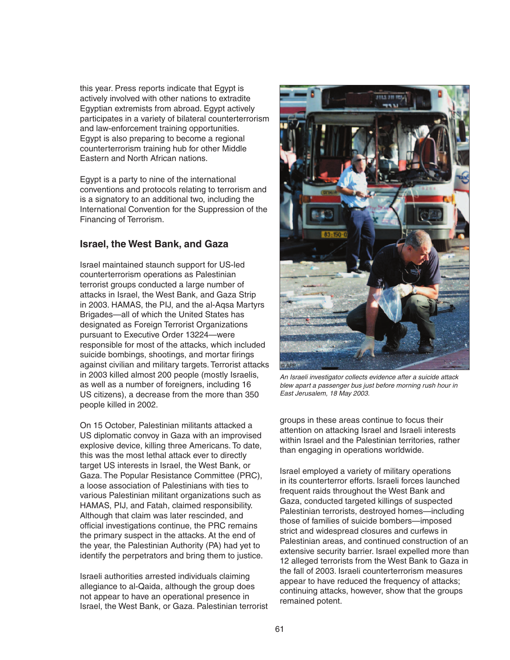this year. Press reports indicate that Egypt is actively involved with other nations to extradite Egyptian extremists from abroad. Egypt actively participates in a variety of bilateral counterterrorism and law-enforcement training opportunities. Egypt is also preparing to become a regional counterterrorism training hub for other Middle Eastern and North African nations.

Egypt is a party to nine of the international conventions and protocols relating to terrorism and is a signatory to an additional two, including the International Convention for the Suppression of the Financing of Terrorism.

# **Israel, the West Bank, and Gaza**

Israel maintained staunch support for US-led counterterrorism operations as Palestinian terrorist groups conducted a large number of attacks in Israel, the West Bank, and Gaza Strip in 2003. HAMAS, the PIJ, and the al-Aqsa Martyrs Brigades—all of which the United States has designated as Foreign Terrorist Organizations pursuant to Executive Order 13224—were responsible for most of the attacks, which included suicide bombings, shootings, and mortar firings against civilian and military targets. Terrorist attacks in 2003 killed almost 200 people (mostly Israelis, as well as a number of foreigners, including 16 US citizens), a decrease from the more than 350 people killed in 2002.

On 15 October, Palestinian militants attacked a US diplomatic convoy in Gaza with an improvised explosive device, killing three Americans. To date, this was the most lethal attack ever to directly target US interests in Israel, the West Bank, or Gaza. The Popular Resistance Committee (PRC), a loose association of Palestinians with ties to various Palestinian militant organizations such as HAMAS, PIJ, and Fatah, claimed responsibility. Although that claim was later rescinded, and official investigations continue, the PRC remains the primary suspect in the attacks. At the end of the year, the Palestinian Authority (PA) had yet to identify the perpetrators and bring them to justice.

Israeli authorities arrested individuals claiming allegiance to al-Qaida, although the group does not appear to have an operational presence in Israel, the West Bank, or Gaza. Palestinian terrorist



An Israeli investigator collects evidence after a suicide attack blew apart a passenger bus just before morning rush hour in East Jerusalem, 18 May 2003.

groups in these areas continue to focus their attention on attacking Israel and Israeli interests within Israel and the Palestinian territories, rather than engaging in operations worldwide.

Israel employed a variety of military operations in its counterterror efforts. Israeli forces launched frequent raids throughout the West Bank and Gaza, conducted targeted killings of suspected Palestinian terrorists, destroyed homes—including those of families of suicide bombers—imposed strict and widespread closures and curfews in Palestinian areas, and continued construction of an extensive security barrier. Israel expelled more than 12 alleged terrorists from the West Bank to Gaza in the fall of 2003. Israeli counterterrorism measures appear to have reduced the frequency of attacks; continuing attacks, however, show that the groups remained potent.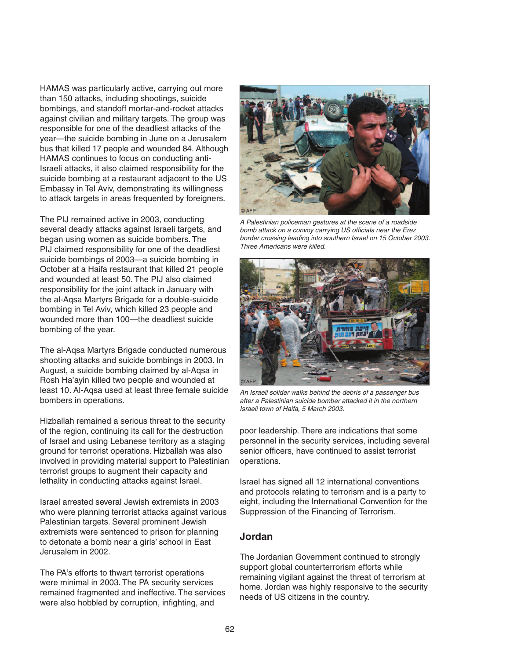HAMAS was particularly active, carrying out more than 150 attacks, including shootings, suicide bombings, and standoff mortar-and-rocket attacks against civilian and military targets. The group was responsible for one of the deadliest attacks of the year—the suicide bombing in June on a Jerusalem bus that killed 17 people and wounded 84. Although HAMAS continues to focus on conducting anti-Israeli attacks, it also claimed responsibility for the suicide bombing at a restaurant adjacent to the US Embassy in Tel Aviv, demonstrating its willingness to attack targets in areas frequented by foreigners.

The PIJ remained active in 2003, conducting several deadly attacks against Israeli targets, and began using women as suicide bombers. The PIJ claimed responsibility for one of the deadliest suicide bombings of 2003—a suicide bombing in October at a Haifa restaurant that killed 21 people and wounded at least 50. The PIJ also claimed responsibility for the joint attack in January with the al-Aqsa Martyrs Brigade for a double-suicide bombing in Tel Aviv, which killed 23 people and wounded more than 100—the deadliest suicide bombing of the year.

The al-Aqsa Martyrs Brigade conducted numerous shooting attacks and suicide bombings in 2003. In August, a suicide bombing claimed by al-Aqsa in Rosh Ha'ayin killed two people and wounded at least 10. Al-Aqsa used at least three female suicide bombers in operations.

Hizballah remained a serious threat to the security of the region, continuing its call for the destruction of Israel and using Lebanese territory as a staging ground for terrorist operations. Hizballah was also involved in providing material support to Palestinian terrorist groups to augment their capacity and lethality in conducting attacks against Israel.

Israel arrested several Jewish extremists in 2003 who were planning terrorist attacks against various Palestinian targets. Several prominent Jewish extremists were sentenced to prison for planning to detonate a bomb near a girls' school in East Jerusalem in 2002.

The PA's efforts to thwart terrorist operations were minimal in 2003. The PA security services remained fragmented and ineffective. The services were also hobbled by corruption, infighting, and



A Palestinian policeman gestures at the scene of a roadside bomb attack on a convoy carrying US officials near the Erez border crossing leading into southern Israel on 15 October 2003. Three Americans were killed.



An Israeli solider walks behind the debris of a passenger bus after a Palestinian suicide bomber attacked it in the northern Israeli town of Haifa, 5 March 2003.

poor leadership. There are indications that some personnel in the security services, including several senior officers, have continued to assist terrorist operations.

Israel has signed all 12 international conventions and protocols relating to terrorism and is a party to eight, including the International Convention for the Suppression of the Financing of Terrorism.

#### **Jordan**

The Jordanian Government continued to strongly support global counterterrorism efforts while remaining vigilant against the threat of terrorism at home. Jordan was highly responsive to the security needs of US citizens in the country.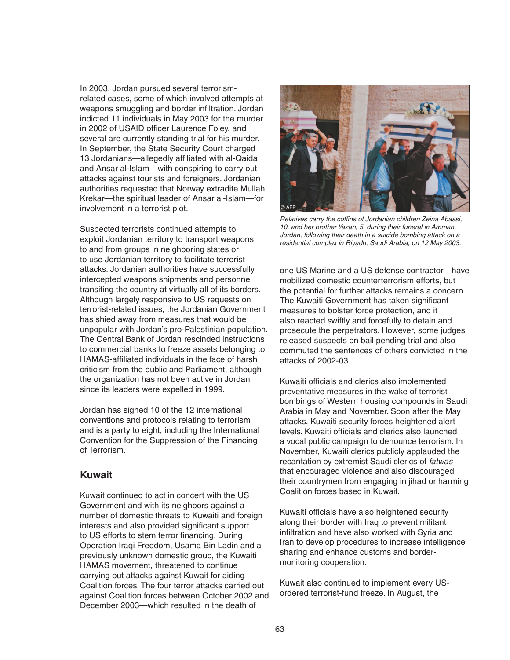In 2003, Jordan pursued several terrorismrelated cases, some of which involved attempts at weapons smuggling and border infiltration. Jordan indicted 11 individuals in May 2003 for the murder in 2002 of USAID officer Laurence Foley, and several are currently standing trial for his murder. In September, the State Security Court charged 13 Jordanians—allegedly affiliated with al-Qaida and Ansar al-Islam—with conspiring to carry out attacks against tourists and foreigners. Jordanian authorities requested that Norway extradite Mullah Krekar—the spiritual leader of Ansar al-Islam—for involvement in a terrorist plot.

Suspected terrorists continued attempts to exploit Jordanian territory to transport weapons to and from groups in neighboring states or to use Jordanian territory to facilitate terrorist attacks. Jordanian authorities have successfully intercepted weapons shipments and personnel transiting the country at virtually all of its borders. Although largely responsive to US requests on terrorist-related issues, the Jordanian Government has shied away from measures that would be unpopular with Jordan's pro-Palestinian population. The Central Bank of Jordan rescinded instructions to commercial banks to freeze assets belonging to HAMAS-affiliated individuals in the face of harsh criticism from the public and Parliament, although the organization has not been active in Jordan since its leaders were expelled in 1999.

Jordan has signed 10 of the 12 international conventions and protocols relating to terrorism and is a party to eight, including the International Convention for the Suppression of the Financing of Terrorism.

#### **Kuwait**

Kuwait continued to act in concert with the US Government and with its neighbors against a number of domestic threats to Kuwaiti and foreign interests and also provided significant support to US efforts to stem terror financing. During Operation Iraqi Freedom, Usama Bin Ladin and a previously unknown domestic group, the Kuwaiti HAMAS movement, threatened to continue carrying out attacks against Kuwait for aiding Coalition forces. The four terror attacks carried out against Coalition forces between October 2002 and December 2003—which resulted in the death of



Relatives carry the coffins of Jordanian children Zeina Abassi, 10, and her brother Yazan, 5, during their funeral in Amman, Jordan, following their death in a suicide bombing attack on a residential complex in Riyadh, Saudi Arabia, on 12 May 2003.

one US Marine and a US defense contractor—have mobilized domestic counterterrorism efforts, but the potential for further attacks remains a concern. The Kuwaiti Government has taken significant measures to bolster force protection, and it also reacted swiftly and forcefully to detain and prosecute the perpetrators. However, some judges released suspects on bail pending trial and also commuted the sentences of others convicted in the attacks of 2002-03.

Kuwaiti officials and clerics also implemented preventative measures in the wake of terrorist bombings of Western housing compounds in Saudi Arabia in May and November. Soon after the May attacks, Kuwaiti security forces heightened alert levels. Kuwaiti officials and clerics also launched a vocal public campaign to denounce terrorism. In November, Kuwaiti clerics publicly applauded the recantation by extremist Saudi clerics of fatwas that encouraged violence and also discouraged their countrymen from engaging in jihad or harming Coalition forces based in Kuwait.

Kuwaiti officials have also heightened security along their border with Iraq to prevent militant infiltration and have also worked with Syria and Iran to develop procedures to increase intelligence sharing and enhance customs and bordermonitoring cooperation.

Kuwait also continued to implement every USordered terrorist-fund freeze. In August, the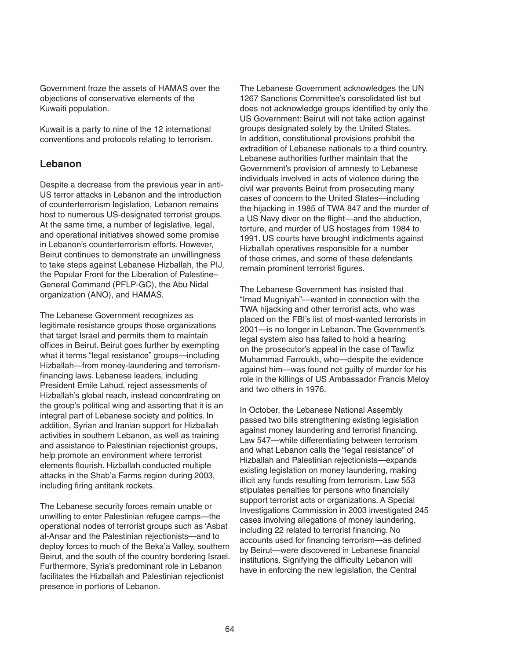Government froze the assets of HAMAS over the objections of conservative elements of the Kuwaiti population.

Kuwait is a party to nine of the 12 international conventions and protocols relating to terrorism.

### **Lebanon**

Despite a decrease from the previous year in anti-US terror attacks in Lebanon and the introduction of counterterrorism legislation, Lebanon remains host to numerous US-designated terrorist groups. At the same time, a number of legislative, legal, and operational initiatives showed some promise in Lebanon's counterterrorism efforts. However, Beirut continues to demonstrate an unwillingness to take steps against Lebanese Hizballah, the PIJ, the Popular Front for the Liberation of Palestine– General Command (PFLP-GC), the Abu Nidal organization (ANO), and HAMAS.

The Lebanese Government recognizes as legitimate resistance groups those organizations that target Israel and permits them to maintain offices in Beirut. Beirut goes further by exempting what it terms "legal resistance" groups—including Hizballah—from money-laundering and terrorismfinancing laws. Lebanese leaders, including President Emile Lahud, reject assessments of Hizballah's global reach, instead concentrating on the group's political wing and asserting that it is an integral part of Lebanese society and politics. In addition, Syrian and Iranian support for Hizballah activities in southern Lebanon, as well as training and assistance to Palestinian rejectionist groups, help promote an environment where terrorist elements flourish. Hizballah conducted multiple attacks in the Shab'a Farms region during 2003, including firing antitank rockets.

The Lebanese security forces remain unable or unwilling to enter Palestinian refugee camps—the operational nodes of terrorist groups such as 'Asbat al-Ansar and the Palestinian rejectionists—and to deploy forces to much of the Beka'a Valley, southern Beirut, and the south of the country bordering Israel. Furthermore, Syria's predominant role in Lebanon facilitates the Hizballah and Palestinian rejectionist presence in portions of Lebanon.

The Lebanese Government acknowledges the UN 1267 Sanctions Committee's consolidated list but does not acknowledge groups identified by only the US Government: Beirut will not take action against groups designated solely by the United States. In addition, constitutional provisions prohibit the extradition of Lebanese nationals to a third country. Lebanese authorities further maintain that the Government's provision of amnesty to Lebanese individuals involved in acts of violence during the civil war prevents Beirut from prosecuting many cases of concern to the United States—including the hijacking in 1985 of TWA 847 and the murder of a US Navy diver on the flight—and the abduction, torture, and murder of US hostages from 1984 to 1991. US courts have brought indictments against Hizballah operatives responsible for a number of those crimes, and some of these defendants remain prominent terrorist figures.

The Lebanese Government has insisted that "Imad Mugniyah"—wanted in connection with the TWA hijacking and other terrorist acts, who was placed on the FBI's list of most-wanted terrorists in 2001—is no longer in Lebanon. The Government's legal system also has failed to hold a hearing on the prosecutor's appeal in the case of Tawfiz Muhammad Farroukh, who—despite the evidence against him—was found not guilty of murder for his role in the killings of US Ambassador Francis Meloy and two others in 1976.

In October, the Lebanese National Assembly passed two bills strengthening existing legislation against money laundering and terrorist financing. Law 547—while differentiating between terrorism and what Lebanon calls the "legal resistance" of Hizballah and Palestinian rejectionists—expands existing legislation on money laundering, making illicit any funds resulting from terrorism. Law 553 stipulates penalties for persons who financially support terrorist acts or organizations. A Special Investigations Commission in 2003 investigated 245 cases involving allegations of money laundering, including 22 related to terrorist financing. No accounts used for financing terrorism—as defined by Beirut—were discovered in Lebanese financial institutions. Signifying the difficulty Lebanon will have in enforcing the new legislation, the Central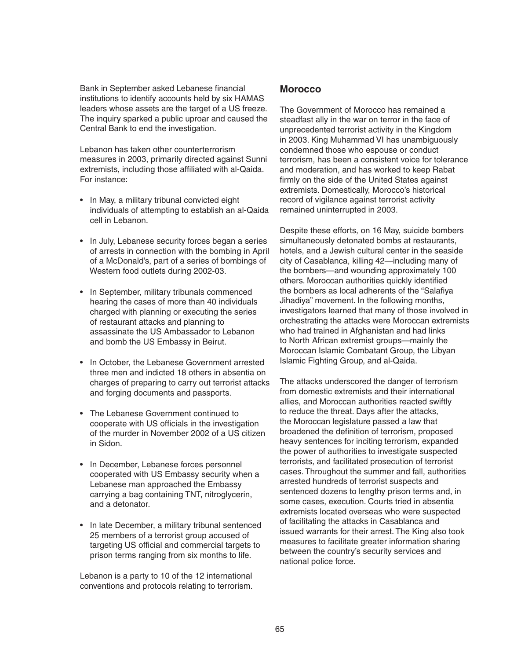Bank in September asked Lebanese financial institutions to identify accounts held by six HAMAS leaders whose assets are the target of a US freeze. The inquiry sparked a public uproar and caused the Central Bank to end the investigation.

Lebanon has taken other counterterrorism measures in 2003, primarily directed against Sunni extremists, including those affiliated with al-Qaida. For instance:

- In May, a military tribunal convicted eight individuals of attempting to establish an al-Qaida cell in Lebanon.
- In July, Lebanese security forces began a series of arrests in connection with the bombing in April of a McDonald's, part of a series of bombings of Western food outlets during 2002-03.
- In September, military tribunals commenced hearing the cases of more than 40 individuals charged with planning or executing the series of restaurant attacks and planning to assassinate the US Ambassador to Lebanon and bomb the US Embassy in Beirut.
- In October, the Lebanese Government arrested three men and indicted 18 others in absentia on charges of preparing to carry out terrorist attacks and forging documents and passports.
- The Lebanese Government continued to cooperate with US officials in the investigation of the murder in November 2002 of a US citizen in Sidon.
- In December, Lebanese forces personnel cooperated with US Embassy security when a Lebanese man approached the Embassy carrying a bag containing TNT, nitroglycerin, and a detonator.
- In late December, a military tribunal sentenced 25 members of a terrorist group accused of targeting US official and commercial targets to prison terms ranging from six months to life.

Lebanon is a party to 10 of the 12 international conventions and protocols relating to terrorism.

### **Morocco**

The Government of Morocco has remained a steadfast ally in the war on terror in the face of unprecedented terrorist activity in the Kingdom in 2003. King Muhammad VI has unambiguously condemned those who espouse or conduct terrorism, has been a consistent voice for tolerance and moderation, and has worked to keep Rabat firmly on the side of the United States against extremists. Domestically, Morocco's historical record of vigilance against terrorist activity remained uninterrupted in 2003.

Despite these efforts, on 16 May, suicide bombers simultaneously detonated bombs at restaurants, hotels, and a Jewish cultural center in the seaside city of Casablanca, killing 42—including many of the bombers—and wounding approximately 100 others. Moroccan authorities quickly identified the bombers as local adherents of the "Salafiya Jihadiya" movement. In the following months, investigators learned that many of those involved in orchestrating the attacks were Moroccan extremists who had trained in Afghanistan and had links to North African extremist groups—mainly the Moroccan Islamic Combatant Group, the Libyan Islamic Fighting Group, and al-Qaida.

The attacks underscored the danger of terrorism from domestic extremists and their international allies, and Moroccan authorities reacted swiftly to reduce the threat. Days after the attacks, the Moroccan legislature passed a law that broadened the definition of terrorism, proposed heavy sentences for inciting terrorism, expanded the power of authorities to investigate suspected terrorists, and facilitated prosecution of terrorist cases. Throughout the summer and fall, authorities arrested hundreds of terrorist suspects and sentenced dozens to lengthy prison terms and, in some cases, execution. Courts tried in absentia extremists located overseas who were suspected of facilitating the attacks in Casablanca and issued warrants for their arrest. The King also took measures to facilitate greater information sharing between the country's security services and national police force.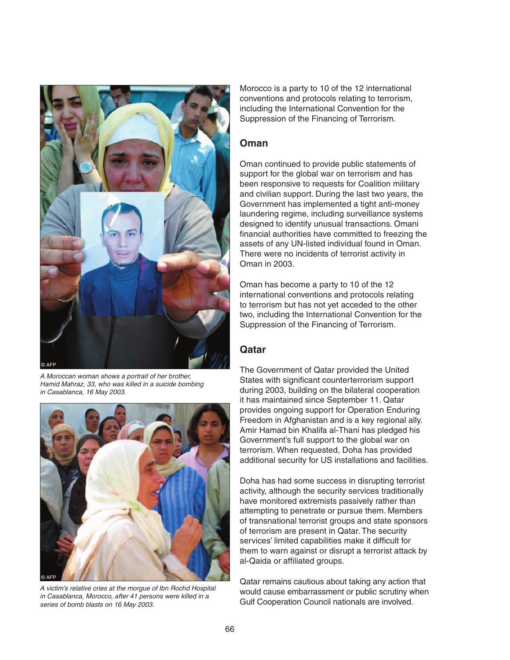

A Moroccan woman shows a portrait of her brother, Hamid Mahraz, 33, who was killed in a suicide bombing in Casablanca, 16 May 2003.



A victim's relative cries at the morgue of Ibn Rochd Hospital in Casablanca, Morocco, after 41 persons were killed in a series of bomb blasts on 16 May 2003.

Morocco is a party to 10 of the 12 international conventions and protocols relating to terrorism, including the International Convention for the Suppression of the Financing of Terrorism.

#### **Oman**

Oman continued to provide public statements of support for the global war on terrorism and has been responsive to requests for Coalition military and civilian support. During the last two years, the Government has implemented a tight anti-money laundering regime, including surveillance systems designed to identify unusual transactions. Omani financial authorities have committed to freezing the assets of any UN-listed individual found in Oman. There were no incidents of terrorist activity in Oman in 2003.

Oman has become a party to 10 of the 12 international conventions and protocols relating to terrorism but has not yet acceded to the other two, including the International Convention for the Suppression of the Financing of Terrorism.

### **Qatar**

The Government of Qatar provided the United States with significant counterterrorism support during 2003, building on the bilateral cooperation it has maintained since September 11. Qatar provides ongoing support for Operation Enduring Freedom in Afghanistan and is a key regional ally. Amir Hamad bin Khalifa al-Thani has pledged his Government's full support to the global war on terrorism. When requested, Doha has provided additional security for US installations and facilities.

Doha has had some success in disrupting terrorist activity, although the security services traditionally have monitored extremists passively rather than attempting to penetrate or pursue them. Members of transnational terrorist groups and state sponsors of terrorism are present in Qatar. The security services' limited capabilities make it difficult for them to warn against or disrupt a terrorist attack by al-Qaida or affiliated groups.

Qatar remains cautious about taking any action that would cause embarrassment or public scrutiny when Gulf Cooperation Council nationals are involved.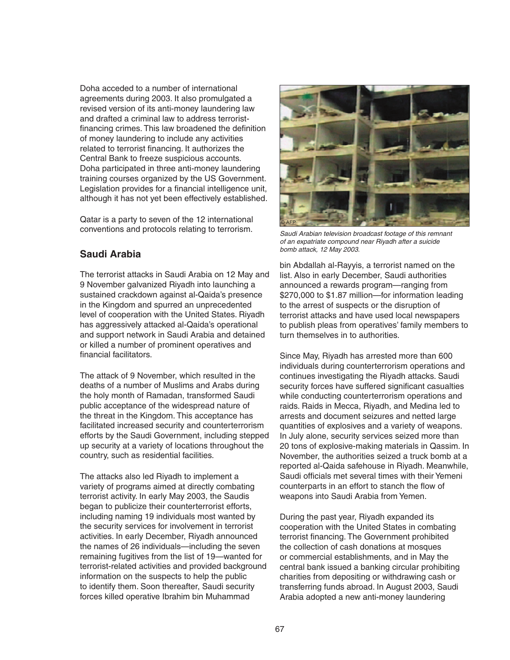Doha acceded to a number of international agreements during 2003. It also promulgated a revised version of its anti-money laundering law and drafted a criminal law to address terroristfinancing crimes. This law broadened the definition of money laundering to include any activities related to terrorist financing. It authorizes the Central Bank to freeze suspicious accounts. Doha participated in three anti-money laundering training courses organized by the US Government. Legislation provides for a financial intelligence unit, although it has not yet been effectively established.

Qatar is a party to seven of the 12 international conventions and protocols relating to terrorism.

### **Saudi Arabia**

The terrorist attacks in Saudi Arabia on 12 May and 9 November galvanized Riyadh into launching a sustained crackdown against al-Qaida's presence in the Kingdom and spurred an unprecedented level of cooperation with the United States. Riyadh has aggressively attacked al-Qaida's operational and support network in Saudi Arabia and detained or killed a number of prominent operatives and financial facilitators.

The attack of 9 November, which resulted in the deaths of a number of Muslims and Arabs during the holy month of Ramadan, transformed Saudi public acceptance of the widespread nature of the threat in the Kingdom. This acceptance has facilitated increased security and counterterrorism efforts by the Saudi Government, including stepped up security at a variety of locations throughout the country, such as residential facilities.

The attacks also led Riyadh to implement a variety of programs aimed at directly combating terrorist activity. In early May 2003, the Saudis began to publicize their counterterrorist efforts, including naming 19 individuals most wanted by the security services for involvement in terrorist activities. In early December, Riyadh announced the names of 26 individuals—including the seven remaining fugitives from the list of 19—wanted for terrorist-related activities and provided background information on the suspects to help the public to identify them. Soon thereafter, Saudi security forces killed operative Ibrahim bin Muhammad



Saudi Arabian television broadcast footage of this remnant of an expatriate compound near Riyadh after a suicide bomb attack, 12 May 2003.

bin Abdallah al-Rayyis, a terrorist named on the list. Also in early December, Saudi authorities announced a rewards program—ranging from \$270,000 to \$1.87 million—for information leading to the arrest of suspects or the disruption of terrorist attacks and have used local newspapers to publish pleas from operatives' family members to turn themselves in to authorities.

Since May, Riyadh has arrested more than 600 individuals during counterterrorism operations and continues investigating the Riyadh attacks. Saudi security forces have suffered significant casualties while conducting counterterrorism operations and raids. Raids in Mecca, Riyadh, and Medina led to arrests and document seizures and netted large quantities of explosives and a variety of weapons. In July alone, security services seized more than 20 tons of explosive-making materials in Qassim. In November, the authorities seized a truck bomb at a reported al-Qaida safehouse in Riyadh. Meanwhile, Saudi officials met several times with their Yemeni counterparts in an effort to stanch the flow of weapons into Saudi Arabia from Yemen.

During the past year, Riyadh expanded its cooperation with the United States in combating terrorist financing. The Government prohibited the collection of cash donations at mosques or commercial establishments, and in May the central bank issued a banking circular prohibiting charities from depositing or withdrawing cash or transferring funds abroad. In August 2003, Saudi Arabia adopted a new anti-money laundering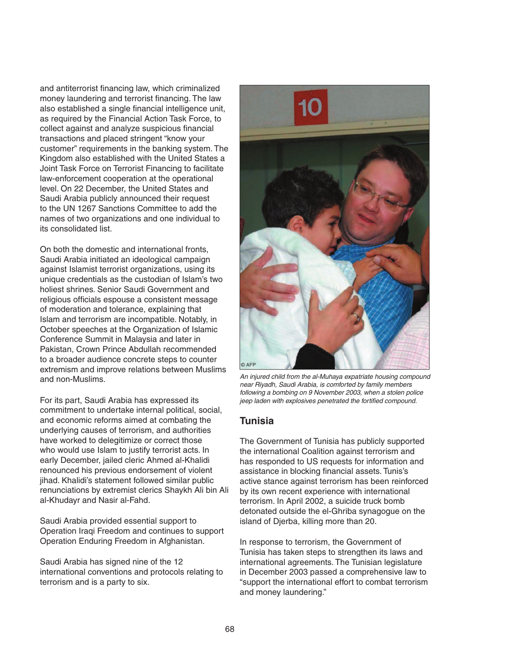and antiterrorist financing law, which criminalized money laundering and terrorist financing. The law also established a single financial intelligence unit, as required by the Financial Action Task Force, to collect against and analyze suspicious financial transactions and placed stringent "know your customer" requirements in the banking system. The Kingdom also established with the United States a Joint Task Force on Terrorist Financing to facilitate law-enforcement cooperation at the operational level. On 22 December, the United States and Saudi Arabia publicly announced their request to the UN 1267 Sanctions Committee to add the names of two organizations and one individual to its consolidated list.

On both the domestic and international fronts, Saudi Arabia initiated an ideological campaign against Islamist terrorist organizations, using its unique credentials as the custodian of Islam's two holiest shrines. Senior Saudi Government and religious officials espouse a consistent message of moderation and tolerance, explaining that Islam and terrorism are incompatible. Notably, in October speeches at the Organization of Islamic Conference Summit in Malaysia and later in Pakistan, Crown Prince Abdullah recommended to a broader audience concrete steps to counter extremism and improve relations between Muslims and non-Muslims.

For its part, Saudi Arabia has expressed its commitment to undertake internal political, social, and economic reforms aimed at combating the underlying causes of terrorism, and authorities have worked to delegitimize or correct those who would use Islam to justify terrorist acts. In early December, jailed cleric Ahmed al-Khalidi renounced his previous endorsement of violent jihad. Khalidi's statement followed similar public renunciations by extremist clerics Shaykh Ali bin Ali al-Khudayr and Nasir al-Fahd.

Saudi Arabia provided essential support to Operation Iraqi Freedom and continues to support Operation Enduring Freedom in Afghanistan.

Saudi Arabia has signed nine of the 12 international conventions and protocols relating to terrorism and is a party to six.



An injured child from the al-Muhaya expatriate housing compound near Riyadh, Saudi Arabia, is comforted by family members following a bombing on 9 November 2003, when a stolen police jeep laden with explosives penetrated the fortified compound.

# **Tunisia**

The Government of Tunisia has publicly supported the international Coalition against terrorism and has responded to US requests for information and assistance in blocking financial assets. Tunis's active stance against terrorism has been reinforced by its own recent experience with international terrorism. In April 2002, a suicide truck bomb detonated outside the el-Ghriba synagogue on the island of Djerba, killing more than 20.

In response to terrorism, the Government of Tunisia has taken steps to strengthen its laws and international agreements. The Tunisian legislature in December 2003 passed a comprehensive law to "support the international effort to combat terrorism and money laundering."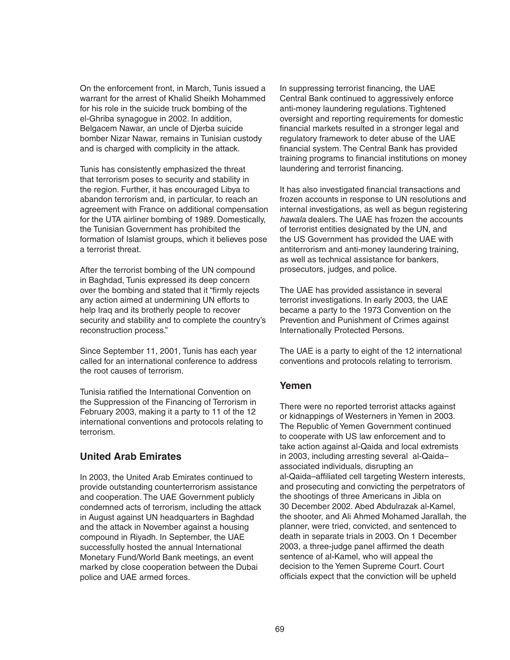On the enforcement front, in March, Tunis issued a warrant for the arrest of Khalid Sheikh Mohammed for his role in the suicide truck bombing of the el-Ghriba synagogue in 2002. In addition, Belgacem Nawar, an uncle of Djerba suicide bomber Nizar Nawar, remains in Tunisian custody and is charged with complicity in the attack.

Tunis has consistently emphasized the threat that terrorism poses to security and stability in the region. Further, it has encouraged Libya to abandon terrorism and, in particular, to reach an agreement with France on additional compensation for the UTA airliner bombing of 1989. Domestically, the Tunisian Government has prohibited the formation of Islamist groups, which it believes pose a terrorist threat.

After the terrorist bombing of the UN compound in Baghdad, Tunis expressed its deep concern over the bombing and stated that it "firmly rejects" any action aimed at undermining UN efforts to help Iraq and its brotherly people to recover security and stability and to complete the country's reconstruction process."

Since September 11, 2001, Tunis has each year called for an international conference to address the root causes of terrorism.

Tunisia ratified the International Convention on the Suppression of the Financing of Terrorism in February 2003, making it a party to 11 of the 12 international conventions and protocols relating to terrorism.

# **United Arab Emirates**

In 2003, the United Arab Emirates continued to provide outstanding counterterrorism assistance and cooperation. The UAE Government publicly condemned acts of terrorism, including the attack in August against UN headquarters in Baghdad and the attack in November against a housing compound in Riyadh. In September, the UAE successfully hosted the annual International Monetary Fund/World Bank meetings, an event marked by close cooperation between the Dubai police and UAE armed forces.

In suppressing terrorist financing, the UAE Central Bank continued to aggressively enforce anti-money laundering regulations. Tightened oversight and reporting requirements for domestic financial markets resulted in a stronger legal and regulatory framework to deter abuse of the UAE financial system. The Central Bank has provided training programs to financial institutions on money laundering and terrorist financing.

It has also investigated financial transactions and frozen accounts in response to UN resolutions and internal investigations, as well as begun registering hawala dealers. The UAE has frozen the accounts of terrorist entities designated by the UN, and the US Government has provided the UAE with antiterrorism and anti-money laundering training, as well as technical assistance for bankers, prosecutors, judges, and police.

The UAE has provided assistance in several terrorist investigations. In early 2003, the UAE became a party to the 1973 Convention on the Prevention and Punishment of Crimes against Internationally Protected Persons.

The UAE is a party to eight of the 12 international conventions and protocols relating to terrorism.

#### **Yemen**

There were no reported terrorist attacks against or kidnappings of Westerners in Yemen in 2003. The Republic of Yemen Government continued to cooperate with US law enforcement and to take action against al-Qaida and local extremists in 2003, including arresting several al-Qaida– associated individuals, disrupting an al-Qaida-affiliated cell targeting Western interests, and prosecuting and convicting the perpetrators of the shootings of three Americans in Jibla on 30 December 2002. Abed Abdulrazak al-Kamel, the shooter, and Ali Ahmed Mohamed Jarallah, the planner, were tried, convicted, and sentenced to death in separate trials in 2003. On 1 December 2003, a three-judge panel affirmed the death sentence of al-Kamel, who will appeal the decision to the Yemen Supreme Court. Court officials expect that the conviction will be upheld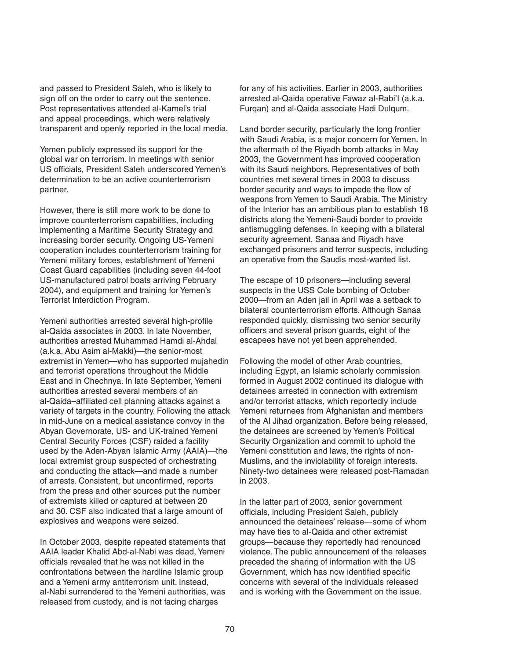and passed to President Saleh, who is likely to sign off on the order to carry out the sentence. Post representatives attended al-Kamel's trial and appeal proceedings, which were relatively transparent and openly reported in the local media.

Yemen publicly expressed its support for the global war on terrorism. In meetings with senior US officials, President Saleh underscored Yemen's determination to be an active counterterrorism partner.

However, there is still more work to be done to improve counterterrorism capabilities, including implementing a Maritime Security Strategy and increasing border security. Ongoing US-Yemeni cooperation includes counterterrorism training for Yemeni military forces, establishment of Yemeni Coast Guard capabilities (including seven 44-foot US-manufactured patrol boats arriving February 2004), and equipment and training for Yemen's Terrorist Interdiction Program.

Yemeni authorities arrested several high-profile al-Qaida associates in 2003. In late November, authorities arrested Muhammad Hamdi al-Ahdal (a.k.a. Abu Asim al-Makki)—the senior-most extremist in Yemen—who has supported mujahedin and terrorist operations throughout the Middle East and in Chechnya. In late September, Yemeni authorities arrested several members of an al-Qaida–affiliated cell planning attacks against a variety of targets in the country. Following the attack in mid-June on a medical assistance convoy in the Abyan Governorate, US- and UK-trained Yemeni Central Security Forces (CSF) raided a facility used by the Aden-Abyan Islamic Army (AAIA)—the local extremist group suspected of orchestrating and conducting the attack—and made a number of arrests. Consistent, but unconfirmed, reports from the press and other sources put the number of extremists killed or captured at between 20 and 30. CSF also indicated that a large amount of explosives and weapons were seized.

In October 2003, despite repeated statements that AAIA leader Khalid Abd-al-Nabi was dead, Yemeni officials revealed that he was not killed in the confrontations between the hardline Islamic group and a Yemeni army antiterrorism unit. Instead, al-Nabi surrendered to the Yemeni authorities, was released from custody, and is not facing charges

for any of his activities. Earlier in 2003, authorities arrested al-Qaida operative Fawaz al-Rabi'I (a.k.a. Furqan) and al-Qaida associate Hadi Dulqum.

Land border security, particularly the long frontier with Saudi Arabia, is a major concern for Yemen. In the aftermath of the Riyadh bomb attacks in May 2003, the Government has improved cooperation with its Saudi neighbors. Representatives of both countries met several times in 2003 to discuss border security and ways to impede the flow of weapons from Yemen to Saudi Arabia. The Ministry of the Interior has an ambitious plan to establish 18 districts along the Yemeni-Saudi border to provide antismuggling defenses. In keeping with a bilateral security agreement, Sanaa and Riyadh have exchanged prisoners and terror suspects, including an operative from the Saudis most-wanted list.

The escape of 10 prisoners—including several suspects in the USS Cole bombing of October 2000—from an Aden jail in April was a setback to bilateral counterterrorism efforts. Although Sanaa responded quickly, dismissing two senior security officers and several prison guards, eight of the escapees have not yet been apprehended.

Following the model of other Arab countries, including Egypt, an Islamic scholarly commission formed in August 2002 continued its dialogue with detainees arrested in connection with extremism and/or terrorist attacks, which reportedly include Yemeni returnees from Afghanistan and members of the Al Jihad organization. Before being released, the detainees are screened by Yemen's Political Security Organization and commit to uphold the Yemeni constitution and laws, the rights of non-Muslims, and the inviolability of foreign interests. Ninety-two detainees were released post-Ramadan in 2003.

In the latter part of 2003, senior government officials, including President Saleh, publicly announced the detainees' release—some of whom may have ties to al-Qaida and other extremist groups—because they reportedly had renounced violence. The public announcement of the releases preceded the sharing of information with the US Government, which has now identified specific concerns with several of the individuals released and is working with the Government on the issue.